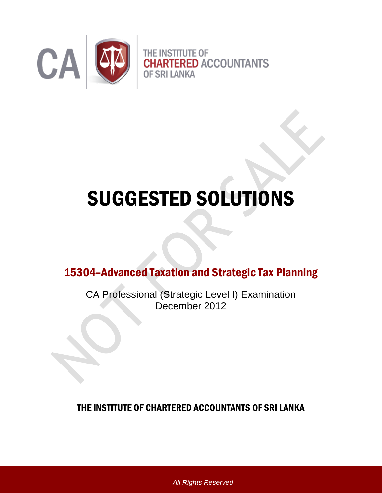

# SUGGESTED SOLUTIONS

15304–Advanced Taxation and Strategic Tax Planning

CA Professional (Strategic Level I) Examination December 2012

THE INSTITUTE OF CHARTERED ACCOUNTANTS OF SRI LANKA

*All Rights Reserved*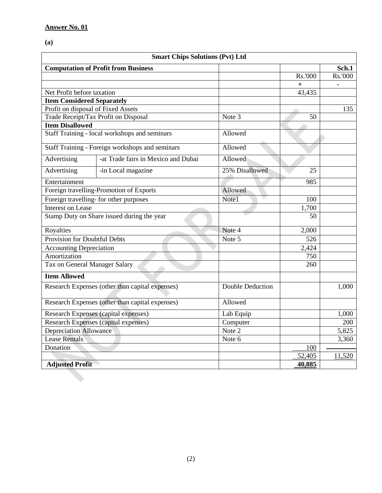# **(a)**

| <b>Smart Chips Solutions (Pvt) Ltd</b>          |                                                 |                         |           |         |  |  |
|-------------------------------------------------|-------------------------------------------------|-------------------------|-----------|---------|--|--|
|                                                 | <b>Computation of Profit from Business</b>      |                         |           | Sch.1   |  |  |
|                                                 |                                                 |                         | Rs.'000   | Rs.'000 |  |  |
|                                                 |                                                 |                         | $\ddot{}$ |         |  |  |
| Net Profit before taxation                      |                                                 |                         | 43,435    |         |  |  |
| <b>Item Considered Separately</b>               |                                                 |                         |           |         |  |  |
| Profit on disposal of Fixed Assets              |                                                 |                         |           | 135     |  |  |
|                                                 | Trade Receipt/Tax Profit on Disposal            | Note 3                  | 50        |         |  |  |
| <b>Item Disallowed</b>                          |                                                 |                         |           |         |  |  |
|                                                 | Staff Training - local workshops and seminars   | Allowed                 |           |         |  |  |
|                                                 | Staff Training - Foreign workshops and seminars | Allowed                 |           |         |  |  |
| Advertising                                     | -at Trade fairs in Mexico and Dubai             | Allowed                 |           |         |  |  |
| Advertising                                     | -in Local magazine                              | 25% Disallowed          | 25        |         |  |  |
| Entertainment                                   |                                                 |                         | 985       |         |  |  |
|                                                 | Foreign travelling-Promotion of Exports         | Allowed                 |           |         |  |  |
| Foreign travelling- for other purposes          |                                                 | Note1                   | 100       |         |  |  |
| <b>Interest on Lease</b>                        |                                                 |                         | 1,700     |         |  |  |
| Stamp Duty on Share issued during the year      |                                                 |                         | 50        |         |  |  |
| Royalties                                       |                                                 | Note 4                  | 2,000     |         |  |  |
| Provision for Doubtful Debts                    |                                                 | Note 5                  | 526       |         |  |  |
| <b>Accounting Depreciation</b>                  |                                                 |                         | 2,424     |         |  |  |
| Amortization                                    |                                                 |                         | 750       |         |  |  |
| Tax on General Manager Salary                   |                                                 |                         | 260       |         |  |  |
| <b>Item Allowed</b>                             |                                                 |                         |           |         |  |  |
| Research Expenses (other than capital expenses) |                                                 | <b>Double Deduction</b> |           | 1,000   |  |  |
| Research Expenses (other than capital expenses) |                                                 | Allowed                 |           |         |  |  |
| Research Expenses (capital expenses)            |                                                 | Lab Equip               |           | 1,000   |  |  |
| <b>Research Expenses (capital expenses)</b>     |                                                 | Computer                |           | 200     |  |  |
| <b>Depreciation Allowance</b>                   |                                                 | Note 2                  |           | 5,825   |  |  |
| <b>Lease Rentals</b>                            |                                                 | Note 6                  |           | 3,360   |  |  |
| Donation                                        |                                                 |                         | 100       |         |  |  |
|                                                 |                                                 |                         | 52,405    | 11,520  |  |  |
| <b>Adjusted Profit</b>                          |                                                 |                         | 40,885    |         |  |  |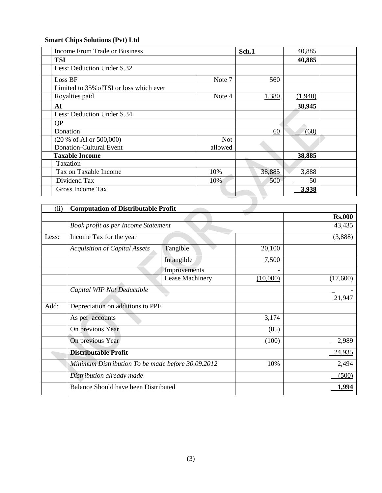# **Smart Chips Solutions (Pvt) Ltd**

| <b>Income From Trade or Business</b>     |            | Sch.1  | 40,885  |  |
|------------------------------------------|------------|--------|---------|--|
| <b>TSI</b>                               |            |        | 40,885  |  |
| Less: Deduction Under S.32               |            |        |         |  |
| Loss BF                                  | Note 7     | 560    |         |  |
| Limited to 35% of TSI or loss which ever |            |        |         |  |
| Royalties paid                           | Note 4     | 1,380  | (1,940) |  |
| AI                                       |            |        | 38,945  |  |
| Less: Deduction Under S.34               |            |        |         |  |
| QP                                       |            |        |         |  |
| Donation                                 |            | 60     | (60)    |  |
| (20 % of AI or 500,000)                  | <b>Not</b> |        |         |  |
| <b>Donation-Cultural Event</b>           | allowed    |        |         |  |
| <b>Taxable Income</b>                    |            |        | 38,885  |  |
| Taxation                                 |            |        |         |  |
| Tax on Taxable Income                    | 10%        | 38,885 | 3,888   |  |
| Dividend Tax                             | 10%        | 500    | 50      |  |
| Gross Income Tax                         |            |        | 3,938   |  |

 $\overline{\phantom{0}}$ 

| (ii)  | <b>Computation of Distributable Profit</b>        |                        |          |               |
|-------|---------------------------------------------------|------------------------|----------|---------------|
|       |                                                   |                        |          | <b>Rs.000</b> |
|       | Book profit as per Income Statement               |                        |          | 43,435        |
| Less: | Income Tax for the year                           |                        |          | (3,888)       |
|       | <b>Acquisition of Capital Assets</b>              | Tangible               | 20,100   |               |
|       |                                                   | Intangible             | 7,500    |               |
|       |                                                   | Improvements           |          |               |
|       |                                                   | <b>Lease Machinery</b> | (10,000) | (17,600)      |
|       | Capital WIP Not Deductible                        |                        |          |               |
|       |                                                   |                        |          | 21,947        |
| Add:  | Depreciation on additions to PPE                  |                        |          |               |
|       | As per accounts                                   |                        | 3,174    |               |
|       | On previous Year                                  |                        | (85)     |               |
|       | On previous Year                                  |                        | (100)    | 2,989         |
|       | <b>Distributable Profit</b>                       |                        |          | 24,935        |
|       | Minimum Distribution To be made before 30.09.2012 |                        | 10%      | 2,494         |
|       | Distribution already made                         |                        |          | (500)         |
|       | Balance Should have been Distributed              |                        |          | 1,994         |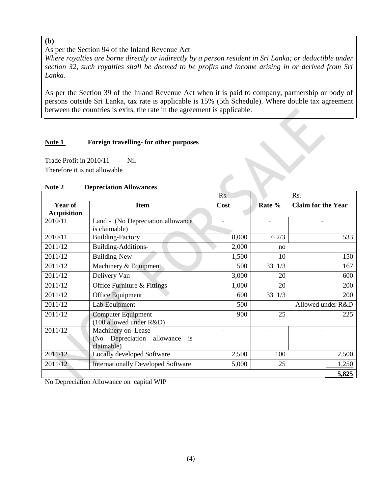# As per the Section 94 of the Inland Revenue Act

*Where royalties are borne directly or indirectly by a person resident in Sri Lanka; or deductible under section 32, such royalties shall be deemed to be profits and income arising in or derived from Sri Lanka.*

As per the Section 39 of the Inland Revenue Act when it is paid to company, partnership or body of persons outside Sri Lanka, tax rate is applicable is 15% (5th Schedule). Where double tax agreement between the countries is exits, the rate in the agreement is applicable.

## **Note 1 Foreign travelling- for other purposes**

Trade Profit in 2010/11 - Nil Therefore it is not allowable

|  | Note 2 | <b>Depreciation Allowances</b> |  |
|--|--------|--------------------------------|--|
|--|--------|--------------------------------|--|

|                               |                                                                                 | Rs.   |                  | Rs.                       |  |
|-------------------------------|---------------------------------------------------------------------------------|-------|------------------|---------------------------|--|
| Year of<br><b>Acquisition</b> | <b>Item</b>                                                                     | Cost  | Rate %           | <b>Claim for the Year</b> |  |
| 2010/11                       | Land - (No Depreciation allowance)<br>is claimable)                             |       | ۰                |                           |  |
| 2010/11                       | <b>Building-Factory</b>                                                         | 8,000 | 62/3             | 533                       |  |
| 2011/12                       | Building-Additions-                                                             | 2,000 | no               |                           |  |
| 2011/12                       | <b>Building-New</b>                                                             | 1,500 | 10               | 150                       |  |
| 2011/12                       | Machinery & Equipment                                                           | 500   | 33<br>1/3        | 167                       |  |
| 2011/12                       | Delivery Van                                                                    | 3,000 | 20               | 600                       |  |
| 2011/12                       | Office Furniture & Fittings                                                     | 1,000 | 20               | 200                       |  |
| 2011/12                       | Office Equipment                                                                | 600   | 33<br>200<br>1/3 |                           |  |
| 2011/12                       | Lab Equipment                                                                   | 500   |                  | Allowed under R&D         |  |
| 2011/12                       | <b>Computer Equipment</b><br>(100 allowed under R&D)                            | 900   | 25               | 225                       |  |
| 2011/12                       | Machinery on Lease<br>(No Depreciation allowance<br><sup>is</sup><br>claimable) |       |                  |                           |  |
| 2011/12                       | Locally developed Software                                                      | 2,500 | 100              | 2,500                     |  |
| 2011/12                       | <b>Internationally Developed Software</b>                                       | 5,000 | 25               | 1,250                     |  |
|                               |                                                                                 |       |                  | 5,825                     |  |

No Depreciation Allowance on capital WIP

**(b)**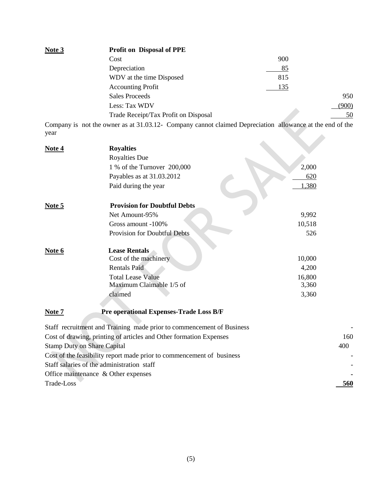| Note 3 | <b>Profit on Disposal of PPE</b>     |     |       |
|--------|--------------------------------------|-----|-------|
|        | Cost                                 | 900 |       |
|        | Depreciation                         | 85  |       |
|        | WDV at the time Disposed             | 815 |       |
|        | <b>Accounting Profit</b>             | 135 |       |
|        | <b>Sales Proceeds</b>                |     | 950   |
|        | Less: Tax WDV                        |     | (900) |
|        | Trade Receipt/Tax Profit on Disposal |     | 50    |

Company is not the owner as at 31.03.12- Company cannot claimed Depreciation allowance at the end of the year 

| Note 4     | <b>Royalties</b>                                                      |        |
|------------|-----------------------------------------------------------------------|--------|
|            | <b>Royalties Due</b>                                                  |        |
|            | 1 % of the Turnover 200,000                                           | 2,000  |
|            | Payables as at 31.03.2012                                             | 620    |
|            | Paid during the year                                                  | 1,380  |
| Note 5     | <b>Provision for Doubtful Debts</b>                                   |        |
|            | Net Amount-95%                                                        | 9,992  |
|            | Gross amount -100%                                                    | 10,518 |
|            | Provision for Doubtful Debts                                          | 526    |
| Note 6     | <b>Lease Rentals</b>                                                  |        |
|            | Cost of the machinery                                                 | 10,000 |
|            | <b>Rentals Paid</b>                                                   | 4,200  |
|            | <b>Total Lease Value</b>                                              | 16,800 |
|            | Maximum Claimable 1/5 of                                              | 3,360  |
|            | claimed                                                               | 3,360  |
| Note 7     | Pre operational Expenses-Trade Loss B/F                               |        |
|            | Staff recruitment and Training made prior to commencement of Business |        |
|            | Cost of drawing, printing of articles and Other formation Expenses    | 160    |
|            | <b>Stamp Duty on Share Capital</b>                                    | 400    |
|            | Cost of the feasibility report made prior to commencement of business |        |
|            | Staff salaries of the administration staff                            |        |
|            | Office maintenance & Other expenses                                   |        |
| Trade-Loss |                                                                       | 560    |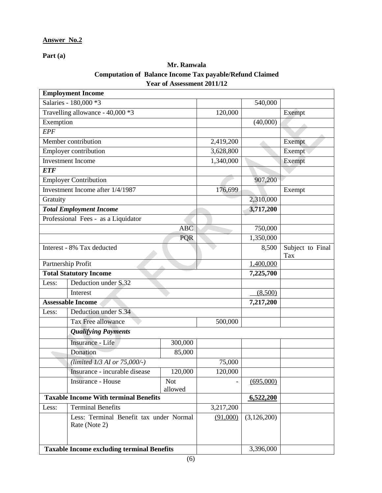**Part (a)**

## **Mr. Ranwala Computation of Balance Income Tax payable/Refund Claimed Year of Assessment 2011/12**

|                                   | <b>Employment Income</b>                                 |            |           |                         |        |
|-----------------------------------|----------------------------------------------------------|------------|-----------|-------------------------|--------|
|                                   | Salaries - 180,000 *3                                    |            |           | 540,000                 |        |
|                                   | Travelling allowance - 40,000 *3                         |            | 120,000   |                         | Exempt |
| Exemption                         |                                                          |            |           | (40,000)                |        |
| <b>EPF</b>                        |                                                          |            |           |                         |        |
|                                   | Member contribution                                      |            | 2,419,200 |                         | Exempt |
|                                   | Employer contribution                                    |            | 3,628,800 |                         | Exempt |
|                                   | <b>Investment Income</b>                                 |            | 1,340,000 |                         | Exempt |
| <b>ETF</b>                        |                                                          |            |           |                         |        |
|                                   | <b>Employer Contribution</b>                             |            |           | 907,200                 |        |
|                                   | Investment Income after 1/4/1987                         |            | 176,699   |                         | Exempt |
| Gratuity                          |                                                          |            |           | 2,310,000               |        |
|                                   | <b>Total Employment Income</b>                           |            |           | 3,717,200               |        |
|                                   | Professional Fees - as a Liquidator                      |            |           |                         |        |
|                                   |                                                          | <b>ABC</b> |           | 750,000                 |        |
|                                   |                                                          | <b>PQR</b> |           | 1,350,000               |        |
| Interest - 8% Tax deducted        |                                                          |            | 8,500     | Subject to Final<br>Tax |        |
| Partnership Profit                |                                                          |            | 1,400,000 |                         |        |
| <b>Total Statutory Income</b>     |                                                          |            | 7,225,700 |                         |        |
| Less:                             | Deduction under S.32                                     |            |           |                         |        |
| Interest                          |                                                          |            | (8,500)   |                         |        |
| <b>Assessable Income</b>          |                                                          |            | 7,217,200 |                         |        |
| Less:                             | Deduction under S.34                                     |            |           |                         |        |
|                                   | <b>Tax Free allowance</b>                                |            | 500,000   |                         |        |
|                                   | <b>Qualifying Payments</b>                               |            |           |                         |        |
|                                   | <b>Insurance - Life</b>                                  | 300,000    |           |                         |        |
|                                   | Donation                                                 | 85,000     |           |                         |        |
|                                   | (limited 1/3 AI or 75,000/-)                             |            | 75,000    |                         |        |
|                                   | Insurance - incurable disease                            | 120,000    | 120,000   |                         |        |
|                                   | <b>Insurance - House</b>                                 | <b>Not</b> |           | (695,000)               |        |
|                                   |                                                          | allowed    |           |                         |        |
|                                   | <b>Taxable Income With terminal Benefits</b>             |            |           | 6,522,200               |        |
| <b>Terminal Benefits</b><br>Less: |                                                          | 3,217,200  |           |                         |        |
|                                   | Less: Terminal Benefit tax under Normal<br>Rate (Note 2) |            | (91,000)  | (3,126,200)             |        |
|                                   | <b>Taxable Income excluding terminal Benefits</b>        |            |           | 3,396,000               |        |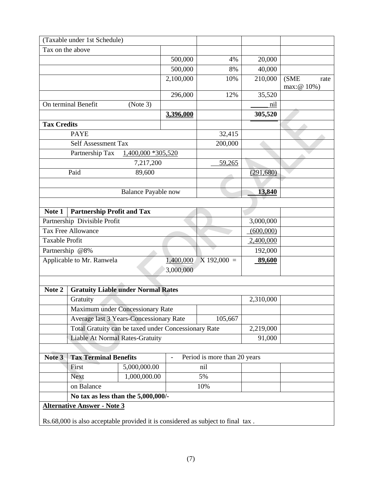|                           | (Taxable under 1st Schedule)                                                    |                            |                        |                              |            |                             |
|---------------------------|---------------------------------------------------------------------------------|----------------------------|------------------------|------------------------------|------------|-----------------------------|
| Tax on the above          |                                                                                 |                            |                        |                              |            |                             |
|                           |                                                                                 |                            | 500,000                | 4%                           | 20,000     |                             |
|                           |                                                                                 |                            | 500,000                | 8%                           | 40,000     |                             |
|                           |                                                                                 |                            | 2,100,000              | 10%                          | 210,000    | (SME<br>rate<br>max: @ 10%) |
|                           |                                                                                 |                            | 296,000                | 12%                          | 35,520     |                             |
|                           | On terminal Benefit                                                             | (Note 3)                   |                        |                              | nil        |                             |
|                           |                                                                                 |                            | 3,396,000              |                              | 305,520    |                             |
| <b>Tax Credits</b>        |                                                                                 |                            |                        |                              |            |                             |
|                           | <b>PAYE</b>                                                                     |                            |                        | 32,415                       |            |                             |
|                           | <b>Self Assessment Tax</b>                                                      |                            |                        | 200,000                      |            |                             |
|                           | Partnership Tax                                                                 | 1,400,000 *305,520         |                        |                              |            |                             |
|                           |                                                                                 | 7,217,200                  |                        | 59,265                       |            |                             |
|                           | Paid                                                                            | 89,600                     |                        |                              | (291, 680) |                             |
|                           |                                                                                 |                            |                        |                              |            |                             |
|                           |                                                                                 | <b>Balance Payable now</b> |                        |                              | 13,840     |                             |
|                           |                                                                                 |                            |                        |                              |            |                             |
| Note 1                    | <b>Partnership Profit and Tax</b>                                               |                            |                        |                              |            |                             |
|                           | Partnership Divisible Profit                                                    |                            |                        |                              | 3,000,000  |                             |
| <b>Tax Free Allowance</b> |                                                                                 |                            | (600,000)              |                              |            |                             |
| Taxable Profit            |                                                                                 |                            | 2,400,000              |                              |            |                             |
| Partnership @8%           |                                                                                 |                            | 192,000                |                              |            |                             |
|                           | Applicable to Mr. Ranwela                                                       |                            | 1,400,000<br>3,000,000 | $X$ 192,000 =                | 89,600     |                             |
|                           |                                                                                 |                            |                        |                              |            |                             |
| Note 2                    | <b>Gratuity Liable under Normal Rates</b>                                       |                            |                        |                              |            |                             |
|                           | Gratuity                                                                        |                            |                        |                              | 2,310,000  |                             |
|                           | Maximum under Concessionary Rate                                                |                            |                        |                              |            |                             |
|                           | Average last 3 Years-Concessionary Rate                                         |                            |                        | 105,667                      |            |                             |
|                           | Total Gratuity can be taxed under Concessionary Rate                            |                            |                        |                              | 2,219,000  |                             |
|                           | <b>Liable At Normal Rates-Gratuity</b>                                          |                            |                        |                              | 91,000     |                             |
|                           |                                                                                 |                            |                        |                              |            |                             |
| Note 3                    | <b>Tax Terminal Benefits</b>                                                    |                            |                        | Period is more than 20 years |            |                             |
|                           | First                                                                           | 5,000,000.00               |                        | nil                          |            |                             |
|                           | <b>Next</b>                                                                     | 1,000,000.00               |                        | 5%                           |            |                             |
|                           | on Balance                                                                      |                            |                        | 10%                          |            |                             |
|                           | No tax as less than the 5,000,000/-                                             |                            |                        |                              |            |                             |
|                           | <b>Alternative Answer - Note 3</b>                                              |                            |                        |                              |            |                             |
|                           |                                                                                 |                            |                        |                              |            |                             |
|                           | Rs.68,000 is also acceptable provided it is considered as subject to final tax. |                            |                        |                              |            |                             |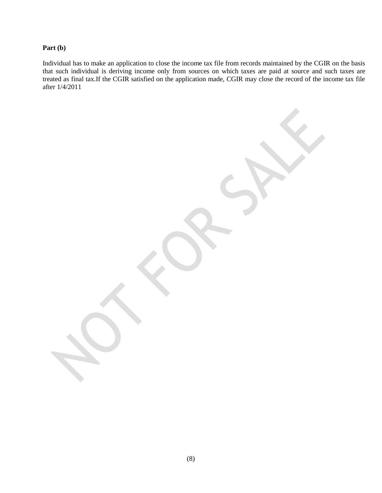### **Part (b)**

Individual has to make an application to close the income tax file from records maintained by the CGIR on the basis that such individual is deriving income only from sources on which taxes are paid at source and such taxes are treated as final tax.If the CGIR satisfied on the application made, CGIR may close the record of the income tax file after 1/4/2011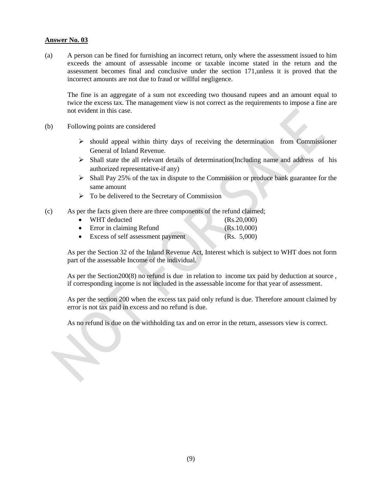(a) A person can be fined for furnishing an incorrect return, only where the assessment issued to him exceeds the amount of assessable income or taxable income stated in the return and the assessment becomes final and conclusive under the section 171,unless it is proved that the incorrect amounts are not due to fraud or willful negligence.

The fine is an aggregate of a sum not exceeding two thousand rupees and an amount equal to twice the excess tax. The management view is not correct as the requirements to impose a fine are not evident in this case.

(b) Following points are considered

- $\triangleright$  should appeal within thirty days of receiving the determination from Commissioner General of Inland Revenue.
- $\triangleright$  Shall state the all relevant details of determination(Including name and address of his authorized representative-if any)
- $\triangleright$  Shall Pay 25% of the tax in dispute to the Commission or produce bank guarantee for the same amount
- $\triangleright$  To be delivered to the Secretary of Commission
- (c) As per the facts given there are three components of the refund claimed;

|           | • WHT deducted                    | (Rs.20,000) |
|-----------|-----------------------------------|-------------|
|           | • Error in claiming Refund        | (Rs.10,000) |
| $\bullet$ | Excess of self assessment payment | (Rs. 5,000) |

As per the Section 32 of the Inland Revenue Act, Interest which is subject to WHT does not form part of the assessable Income of the individual.

As per the Section200(8) no refund is due in relation to income tax paid by deduction at source , if corresponding income is not included in the assessable income for that year of assessment.

As per the section 200 when the excess tax paid only refund is due. Therefore amount claimed by error is not tax paid in excess and no refund is due.

As no refund is due on the withholding tax and on error in the return, assessors view is correct.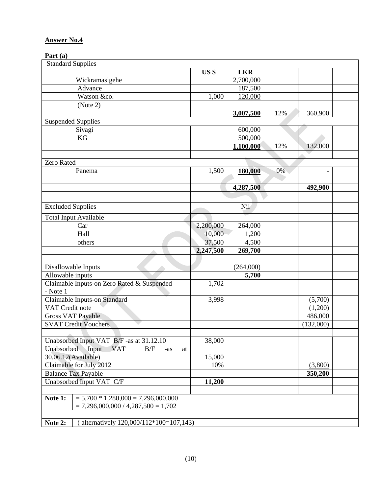## **Part (a)**

| <b>Standard Supplies</b>                                |           |            |     |                          |  |
|---------------------------------------------------------|-----------|------------|-----|--------------------------|--|
|                                                         | US \$     | <b>LKR</b> |     |                          |  |
| Wickramasigehe                                          |           | 2,700,000  |     |                          |  |
| Advance                                                 |           | 187,500    |     |                          |  |
| Watson &co.                                             | 1,000     | 120,000    |     |                          |  |
| (Note 2)                                                |           |            |     |                          |  |
|                                                         |           | 3,007,500  | 12% | 360,900                  |  |
| <b>Suspended Supplies</b>                               |           |            |     |                          |  |
| Sivagi                                                  |           | 600,000    |     |                          |  |
| KG                                                      |           | 500,000    |     |                          |  |
|                                                         |           | 1,100,000  | 12% | 132,000                  |  |
|                                                         |           |            |     |                          |  |
| Zero Rated                                              |           |            |     |                          |  |
| Panema                                                  | 1,500     | 180,000    | 0%  | $\overline{\phantom{0}}$ |  |
|                                                         |           |            |     |                          |  |
|                                                         |           | 4,287,500  |     | 492,900                  |  |
|                                                         |           |            |     |                          |  |
|                                                         |           |            |     |                          |  |
| <b>Excluded Supplies</b>                                |           | Nil        |     |                          |  |
| <b>Total Input Available</b>                            |           |            |     |                          |  |
| Car                                                     | 2,200,000 | 264,000    |     |                          |  |
| Hall                                                    | 10,000    | 1,200      |     |                          |  |
| others                                                  | 37,500    | 4,500      |     |                          |  |
|                                                         | 2,247,500 | 269,700    |     |                          |  |
|                                                         |           |            |     |                          |  |
| Disallowable Inputs                                     |           | (264,000)  |     |                          |  |
| Allowable inputs                                        |           | 5,700      |     |                          |  |
| Claimable Inputs-on Zero Rated & Suspended              | 1,702     |            |     |                          |  |
| - Note 1                                                |           |            |     |                          |  |
| Claimable Inputs-on Standard                            | 3,998     |            |     | (5,700)                  |  |
| VAT Credit note                                         |           |            |     | (1,200)                  |  |
| <b>Gross VAT Payable</b>                                |           |            |     | 486,000                  |  |
| <b>SVAT Credit Vouchers</b>                             |           |            |     | (132,000)                |  |
|                                                         |           |            |     |                          |  |
| Unabsorbed Input VAT B/F -as at 31.12.10                | 38,000    |            |     |                          |  |
| Input<br><b>VAT</b><br>Unabsorbed<br>B/F<br>$-as$<br>at |           |            |     |                          |  |
| 30.06.12(Available)                                     | 15,000    |            |     |                          |  |
| Claimable for July 2012                                 | 10%       |            |     | (3,800)                  |  |
| <b>Balance Tax Payable</b>                              |           |            |     | 350,200                  |  |
| Unabsorbed Input VAT C/F                                | 11,200    |            |     |                          |  |
|                                                         |           |            |     |                          |  |
| $= 5,700 * 1,280,000 = 7,296,000,000$<br>Note 1:        |           |            |     |                          |  |
| $= 7,296,000,000 / 4,287,500 = 1,702$                   |           |            |     |                          |  |
|                                                         |           |            |     |                          |  |
| alternatively 120,000/112*100=107,143)<br>Note 2:       |           |            |     |                          |  |
|                                                         |           |            |     |                          |  |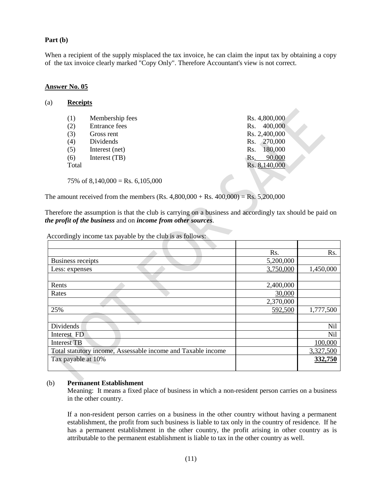#### **Part (b)**

When a recipient of the supply misplaced the tax invoice, he can claim the input tax by obtaining a copy of the tax invoice clearly marked "Copy Only". Therefore Accountant's view is not correct.

 $\Delta$ 

#### **Answer No. 05**

| <b>Receipts</b> |
|-----------------|
|                 |

| (1)                               | Membership fees      | Rs. 4,800,000  |
|-----------------------------------|----------------------|----------------|
| (2)                               | <b>Entrance fees</b> | 400,000<br>Rs. |
| (3)                               | Gross rent           | Rs. 2,400,000  |
| (4)                               | Dividends            | 270,000<br>Rs. |
| (5)                               | Interest (net)       | 180,000<br>Rs. |
| (6)                               | Interest (TB)        | 90,000<br>Rs.  |
| Total                             |                      | Rs. 8,140,000  |
|                                   |                      |                |
| 75\% of 8,140,000 = Rs. 6,105,000 |                      |                |

The amount received from the members (Rs.  $4,800,000 + \text{Rs } 400,000 = \text{Rs } 5,200,000$ )

Therefore the assumption is that the club is carrying on a business and accordingly tax should be paid on *the profit of the business* and on *income from other sources*.

Accordingly income tax payable by the club is as follows:

|                                                              | Rs.       | Rs.        |
|--------------------------------------------------------------|-----------|------------|
| <b>Business receipts</b>                                     | 5,200,000 |            |
| Less: expenses                                               | 3,750,000 | 1,450,000  |
|                                                              |           |            |
| Rents                                                        | 2,400,000 |            |
| Rates                                                        | 30,000    |            |
|                                                              | 2,370,000 |            |
| 25%                                                          | 592,500   | 1,777,500  |
|                                                              |           |            |
| Dividends                                                    |           | Nil        |
| Interest FD                                                  |           | <b>Nil</b> |
| <b>Interest TB</b>                                           |           | 100,000    |
| Total statutory income, Assessable income and Taxable income |           | 3,327,500  |
| Tax payable at 10%                                           |           | 332,750    |
|                                                              |           |            |

#### (b) **Permanent Establishment**

Meaning: It means a fixed place of business in which a non-resident person carries on a business in the other country.

If a non-resident person carries on a business in the other country without having a permanent establishment, the profit from such business is liable to tax only in the country of residence. If he has a permanent establishment in the other country, the profit arising in other country as is attributable to the permanent establishment is liable to tax in the other country as well.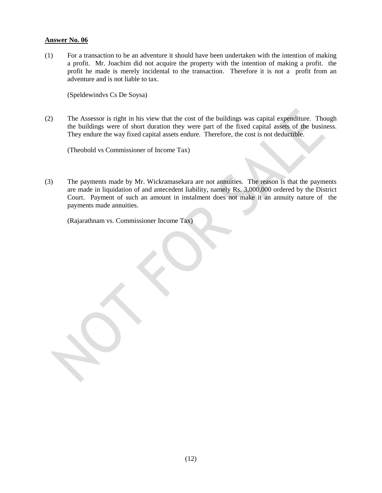(1) For a transaction to be an adventure it should have been undertaken with the intention of making a profit. Mr. Joachim did not acquire the property with the intention of making a profit. the profit he made is merely incidental to the transaction. Therefore it is not a profit from an adventure and is not liable to tax.

(Speldewindvs Cs De Soysa)

(2) The Assessor is right in his view that the cost of the buildings was capital expenditure. Though the buildings were of short duration they were part of the fixed capital assets of the business. They endure the way fixed capital assets endure. Therefore, the cost is not deductible.

(Theobold vs Commissioner of Income Tax)

(3) The payments made by Mr. Wickramasekara are not annuities. The reason is that the payments are made in liquidation of and antecedent liability, namely Rs. 3,000,000 ordered by the District Court. Payment of such an amount in instalment does not make it an annuity nature of the payments made annuities.

(Rajarathnam vs. Commissioner Income Tax)